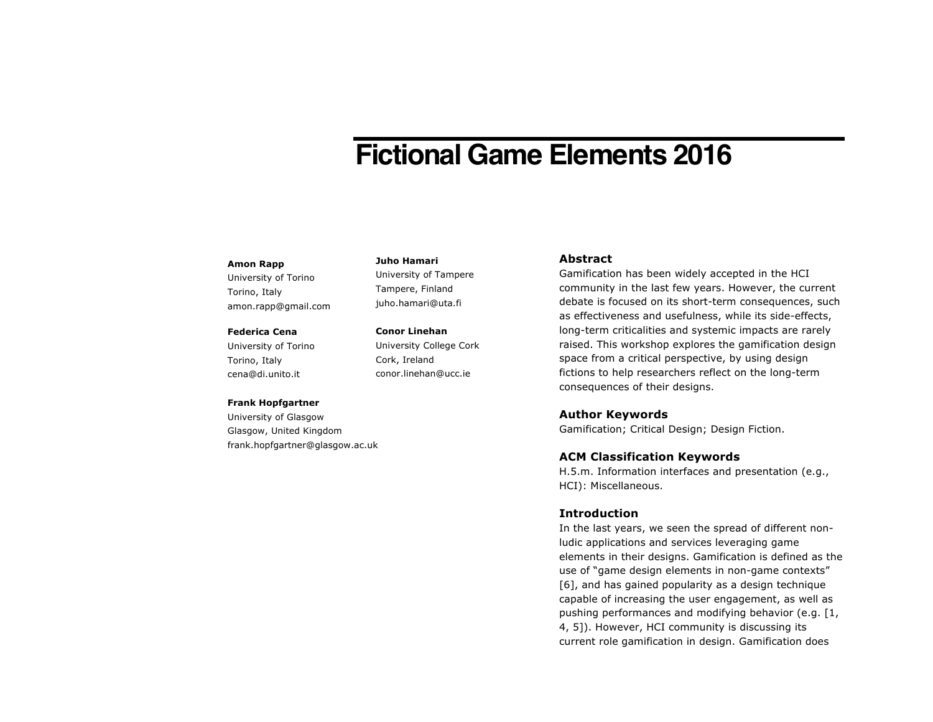# **Fictional Game Elements 2016**

#### **Amon Rapp**

University of Torino Torino, Italy amon.rapp@gmail.com

#### **Federica Cena**

University of Torino Torino, Italy cena@di.unito.it

### **Frank Hopfgartner**

University of Glasgow Glasgow, United Kingdom frank.hopfgartner@glasgow.ac.uk

#### **Juho Hamari**

University of Tampere Tampere, Finland juho.hamari@uta.fi

**Conor Linehan** University College Cork

Cork, Ireland conor.linehan@ucc.ie

## **Abstract**

Gamification has been widely accepted in the HCI community in the last few years. However, the current debate is focused on its short-term consequences, such as effectiveness and usefulness, while its side-effects, long-term criticalities and systemic impacts are rarely raised. This workshop explores the gamification design space from a critical perspective, by using design fictions to help researchers reflect on the long-term consequences of their designs.

## **Author Keywords**

Gamification; Critical Design; Design Fiction.

## **ACM Classification Keywords**

H.5.m. Information interfaces and presentation (e.g., HCI): Miscellaneous.

# **Introduction**

In the last years, we seen the spread of different nonludic applications and services leveraging game elements in their designs. Gamification is defined as the use of "game design elements in non-game contexts" [6], and has gained popularity as a design technique capable of increasing the user engagement, as well as pushing performances and modifying behavior (e.g. [1, 4, 5]). However, HCI community is discussing its current role gamification in design. Gamification does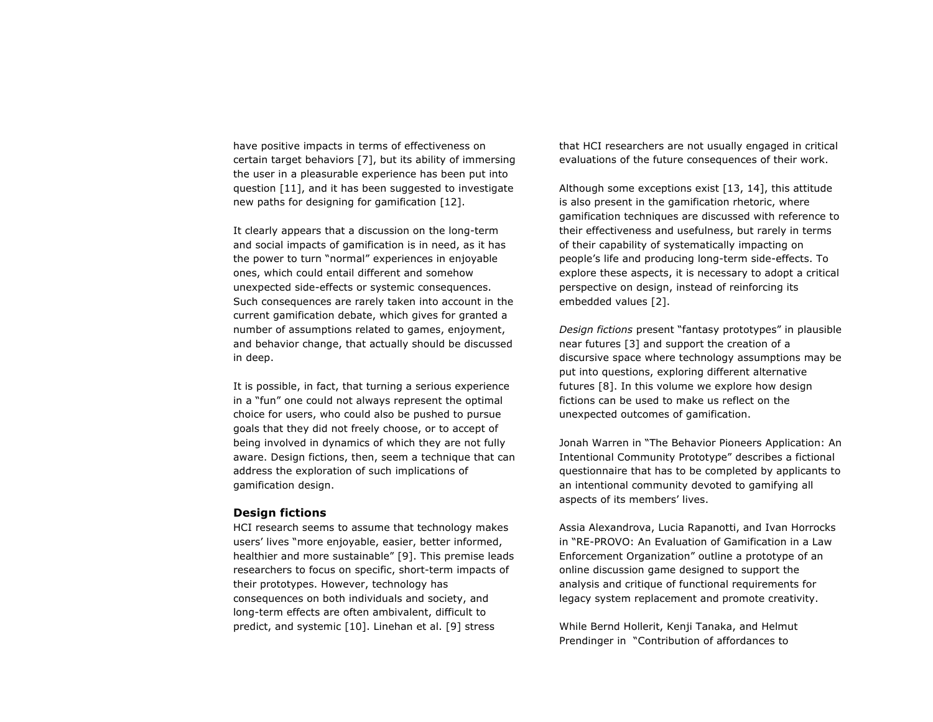have positive impacts in terms of effectiveness on certain target behaviors [7], but its ability of immersing the user in a pleasurable experience has been put into question [11], and it has been suggested to investigate new paths for designing for gamification [12].

It clearly appears that a discussion on the long-term and social impacts of gamification is in need, as it has the power to turn "normal" experiences in enjoyable ones, which could entail different and somehow unexpected side-effects or systemic consequences. Such consequences are rarely taken into account in the current gamification debate, which gives for granted a number of assumptions related to games, enjoyment, and behavior change, that actually should be discussed in deep.

It is possible, in fact, that turning a serious experience in a "fun" one could not always represent the optimal choice for users, who could also be pushed to pursue goals that they did not freely choose, or to accept of being involved in dynamics of which they are not fully aware. Design fictions, then, seem a technique that can address the exploration of such implications of gamification design.

## **Design fictions**

HCI research seems to assume that technology makes users' lives "more enjoyable, easier, better informed, healthier and more sustainable" [9]. This premise leads researchers to focus on specific, short-term impacts of their prototypes. However, technology has consequences on both individuals and society, and long-term effects are often ambivalent, difficult to predict, and systemic [10]. Linehan et al. [9] stress

that HCI researchers are not usually engaged in critical evaluations of the future consequences of their work.

Although some exceptions exist [13, 14], this attitude is also present in the gamification rhetoric, where gamification techniques are discussed with reference to their effectiveness and usefulness, but rarely in terms of their capability of systematically impacting on people's life and producing long-term side-effects. To explore these aspects, it is necessary to adopt a critical perspective on design, instead of reinforcing its embedded values [2].

*Design fictions* present "fantasy prototypes" in plausible near futures [3] and support the creation of a discursive space where technology assumptions may be put into questions, exploring different alternative futures [8]. In this volume we explore how design fictions can be used to make us reflect on the unexpected outcomes of gamification.

Jonah Warren in "The Behavior Pioneers Application: An Intentional Community Prototype" describes a fictional questionnaire that has to be completed by applicants to an intentional community devoted to gamifying all aspects of its members' lives.

Assia Alexandrova, Lucia Rapanotti, and Ivan Horrocks in "RE-PROVO: An Evaluation of Gamification in a Law Enforcement Organization" outline a prototype of an online discussion game designed to support the analysis and critique of functional requirements for legacy system replacement and promote creativity.

While Bernd Hollerit, Kenji Tanaka, and Helmut Prendinger in "Contribution of affordances to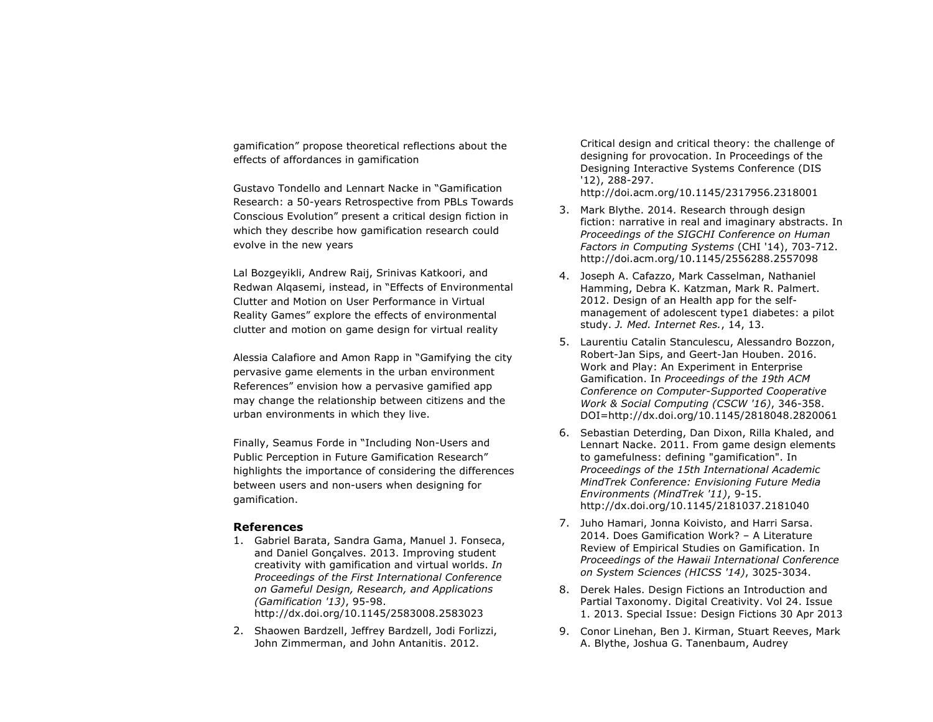gamification" propose theoretical reflections about the effects of affordances in gamification

Gustavo Tondello and Lennart Nacke in "Gamification Research: a 50-years Retrospective from PBLs Towards Conscious Evolution" present a critical design fiction in which they describe how gamification research could evolve in the new years

Lal Bozgeyikli, Andrew Raij, Srinivas Katkoori, and Redwan Alqasemi, instead, in "Effects of Environmental Clutter and Motion on User Performance in Virtual Reality Games" explore the effects of environmental clutter and motion on game design for virtual reality

Alessia Calafiore and Amon Rapp in "Gamifying the city pervasive game elements in the urban environment References" envision how a pervasive gamified app may change the relationship between citizens and the urban environments in which they live.

Finally, Seamus Forde in "Including Non-Users and Public Perception in Future Gamification Research" highlights the importance of considering the differences between users and non-users when designing for gamification.

#### **References**

- 1. Gabriel Barata, Sandra Gama, Manuel J. Fonseca, and Daniel Gonçalves. 2013. Improving student creativity with gamification and virtual worlds. *In Proceedings of the First International Conference on Gameful Design, Research, and Applications (Gamification '13)*, 95-98. http://dx.doi.org/10.1145/2583008.2583023
- 2. Shaowen Bardzell, Jeffrey Bardzell, Jodi Forlizzi, John Zimmerman, and John Antanitis. 2012.

Critical design and critical theory: the challenge of designing for provocation. In Proceedings of the Designing Interactive Systems Conference (DIS '12), 288-297.

http://doi.acm.org/10.1145/2317956.2318001

- 3. Mark Blythe. 2014. Research through design fiction: narrative in real and imaginary abstracts. In *Proceedings of the SIGCHI Conference on Human Factors in Computing Systems* (CHI '14), 703-712. http://doi.acm.org/10.1145/2556288.2557098
- 4. Joseph A. Cafazzo, Mark Casselman, Nathaniel Hamming, Debra K. Katzman, Mark R. Palmert. 2012. Design of an Health app for the selfmanagement of adolescent type1 diabetes: a pilot study. *J. Med. Internet Res.*, 14, 13.
- 5. Laurentiu Catalin Stanculescu, Alessandro Bozzon, Robert-Jan Sips, and Geert-Jan Houben. 2016. Work and Play: An Experiment in Enterprise Gamification. In *Proceedings of the 19th ACM Conference on Computer-Supported Cooperative Work & Social Computing (CSCW '16)*, 346-358. DOI=http://dx.doi.org/10.1145/2818048.2820061
- 6. Sebastian Deterding, Dan Dixon, Rilla Khaled, and Lennart Nacke. 2011. From game design elements to gamefulness: defining "gamification". In *Proceedings of the 15th International Academic MindTrek Conference: Envisioning Future Media Environments (MindTrek '11)*, 9-15. http://dx.doi.org/10.1145/2181037.2181040
- 7. Juho Hamari, Jonna Koivisto, and Harri Sarsa. 2014. Does Gamification Work? – A Literature Review of Empirical Studies on Gamification. In *Proceedings of the Hawaii International Conference on System Sciences (HICSS '14)*, 3025-3034.
- 8. Derek Hales. Design Fictions an Introduction and Partial Taxonomy. Digital Creativity. Vol 24. Issue 1. 2013. Special Issue: Design Fictions 30 Apr 2013
- 9. Conor Linehan, Ben J. Kirman, Stuart Reeves, Mark A. Blythe, Joshua G. Tanenbaum, Audrey